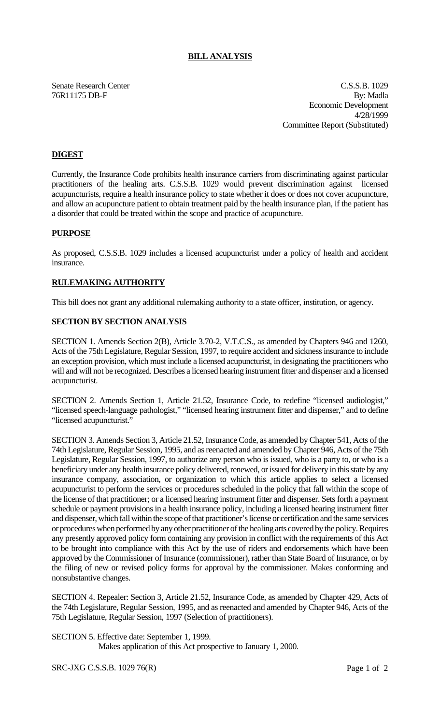## **BILL ANALYSIS**

Senate Research Center Cassette Context C.S.S.B. 1029 76R11175 DB-F By: Madla Economic Development 4/28/1999 Committee Report (Substituted)

# **DIGEST**

Currently, the Insurance Code prohibits health insurance carriers from discriminating against particular practitioners of the healing arts. C.S.S.B. 1029 would prevent discrimination against licensed acupuncturists, require a health insurance policy to state whether it does or does not cover acupuncture, and allow an acupuncture patient to obtain treatment paid by the health insurance plan, if the patient has a disorder that could be treated within the scope and practice of acupuncture.

## **PURPOSE**

As proposed, C.S.S.B. 1029 includes a licensed acupuncturist under a policy of health and accident insurance.

## **RULEMAKING AUTHORITY**

This bill does not grant any additional rulemaking authority to a state officer, institution, or agency.

## **SECTION BY SECTION ANALYSIS**

SECTION 1. Amends Section 2(B), Article 3.70-2, V.T.C.S., as amended by Chapters 946 and 1260, Acts of the 75th Legislature, Regular Session, 1997, to require accident and sickness insurance to include an exception provision, which must include a licensed acupuncturist, in designating the practitioners who will and will not be recognized. Describes a licensed hearing instrument fitter and dispenser and a licensed acupuncturist.

SECTION 2. Amends Section 1, Article 21.52, Insurance Code, to redefine "licensed audiologist," "licensed speech-language pathologist," "licensed hearing instrument fitter and dispenser," and to define "licensed acupuncturist."

SECTION 3. Amends Section 3, Article 21.52, Insurance Code, as amended by Chapter 541, Acts of the 74th Legislature, Regular Session, 1995, and as reenacted and amended by Chapter 946, Acts of the 75th Legislature, Regular Session, 1997, to authorize any person who is issued, who is a party to, or who is a beneficiary under any health insurance policy delivered, renewed, or issued for delivery in this state by any insurance company, association, or organization to which this article applies to select a licensed acupuncturist to perform the services or procedures scheduled in the policy that fall within the scope of the license of that practitioner; or a licensed hearing instrument fitter and dispenser. Sets forth a payment schedule or payment provisions in a health insurance policy, including a licensed hearing instrument fitter and dispenser, which fall within the scope of that practitioner's license or certification and the same services or procedures when performed by any other practitioner of the healing arts covered by the policy. Requires any presently approved policy form containing any provision in conflict with the requirements of this Act to be brought into compliance with this Act by the use of riders and endorsements which have been approved by the Commissioner of Insurance (commissioner), rather than State Board of Insurance, or by the filing of new or revised policy forms for approval by the commissioner. Makes conforming and nonsubstantive changes.

SECTION 4. Repealer: Section 3, Article 21.52, Insurance Code, as amended by Chapter 429, Acts of the 74th Legislature, Regular Session, 1995, and as reenacted and amended by Chapter 946, Acts of the 75th Legislature, Regular Session, 1997 (Selection of practitioners).

SECTION 5. Effective date: September 1, 1999.

Makes application of this Act prospective to January 1, 2000.